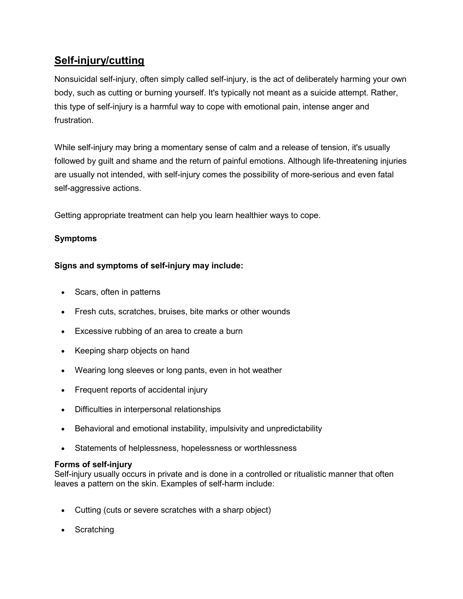# **[Self-injury/cutting](https://www.mayoclinic.org/diseases-conditions/self-injury/symptoms-causes/syc-20350950)**

Nonsuicidal self-injury, often simply called self-injury, is the act of deliberately harming your own body, such as cutting or burning yourself. It's typically not meant as a suicide attempt. Rather, this type of self-injury is a harmful way to cope with emotional pain, intense anger and frustration.

While self-injury may bring a momentary sense of calm and a release of tension, it's usually followed by guilt and shame and the return of painful emotions. Although life-threatening injuries are usually not intended, with self-injury comes the possibility of more-serious and even fatal self-aggressive actions.

Getting appropriate treatment can help you learn healthier ways to cope.

# **Symptoms**

# **Signs and symptoms of self-injury may include:**

- Scars, often in patterns
- Fresh cuts, scratches, bruises, bite marks or other wounds
- Excessive rubbing of an area to create a burn
- Keeping sharp objects on hand
- Wearing long sleeves or long pants, even in hot weather
- Frequent reports of accidental injury
- Difficulties in interpersonal relationships
- Behavioral and emotional instability, impulsivity and unpredictability
- Statements of helplessness, hopelessness or worthlessness

## **Forms of self-injury**

Self-injury usually occurs in private and is done in a controlled or ritualistic manner that often leaves a pattern on the skin. Examples of self-harm include:

- Cutting (cuts or severe scratches with a sharp object)
- Scratching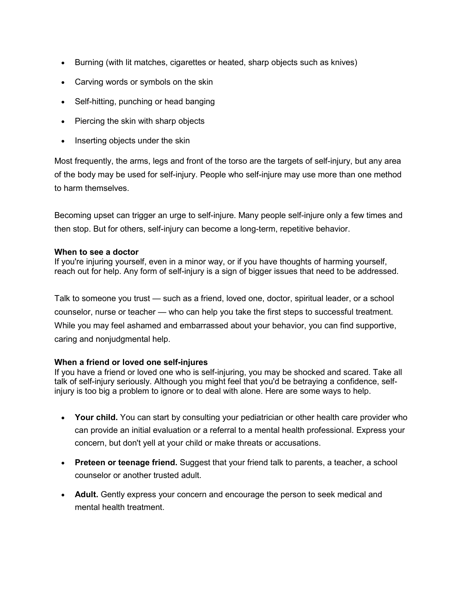- Burning (with lit matches, cigarettes or heated, sharp objects such as knives)
- Carving words or symbols on the skin
- Self-hitting, punching or head banging
- Piercing the skin with sharp objects
- Inserting objects under the skin

Most frequently, the arms, legs and front of the torso are the targets of self-injury, but any area of the body may be used for self-injury. People who self-injure may use more than one method to harm themselves.

Becoming upset can trigger an urge to self-injure. Many people self-injure only a few times and then stop. But for others, self-injury can become a long-term, repetitive behavior.

## **When to see a doctor**

If you're injuring yourself, even in a minor way, or if you have thoughts of harming yourself, reach out for help. Any form of self-injury is a sign of bigger issues that need to be addressed.

Talk to someone you trust — such as a friend, loved one, doctor, spiritual leader, or a school counselor, nurse or teacher — who can help you take the first steps to successful treatment. While you may feel ashamed and embarrassed about your behavior, you can find supportive, caring and nonjudgmental help.

## **When a friend or loved one self-injures**

If you have a friend or loved one who is self-injuring, you may be shocked and scared. Take all talk of self-injury seriously. Although you might feel that you'd be betraying a confidence, selfinjury is too big a problem to ignore or to deal with alone. Here are some ways to help.

- **Your child.** You can start by consulting your pediatrician or other health care provider who can provide an initial evaluation or a referral to a mental health professional. Express your concern, but don't yell at your child or make threats or accusations.
- **Preteen or teenage friend.** Suggest that your friend talk to parents, a teacher, a school counselor or another trusted adult.
- **Adult.** Gently express your concern and encourage the person to seek medical and mental health treatment.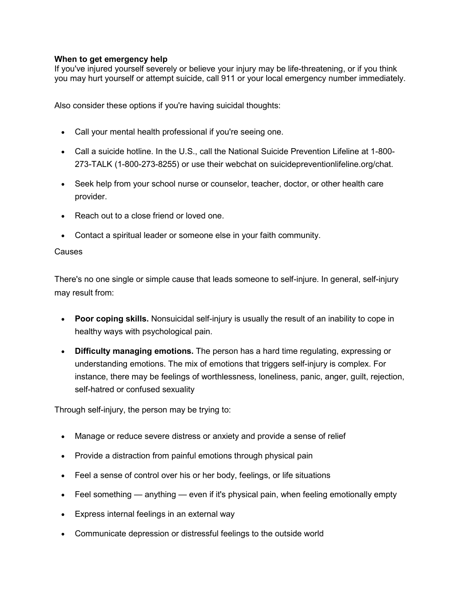# **When to get emergency help**

If you've injured yourself severely or believe your injury may be life-threatening, or if you think you may hurt yourself or attempt suicide, call 911 or your local emergency number immediately.

Also consider these options if you're having suicidal thoughts:

- Call your mental health professional if you're seeing one.
- Call a suicide hotline. In the U.S., call the National Suicide Prevention Lifeline at 1-800- 273-TALK (1-800-273-8255) or use their webchat on suicidepreventionlifeline.org/chat.
- Seek help from your school nurse or counselor, teacher, doctor, or other health care provider.
- Reach out to a close friend or loved one.
- Contact a spiritual leader or someone else in your faith community.

#### Causes

There's no one single or simple cause that leads someone to self-injure. In general, self-injury may result from:

- **Poor coping skills.** Nonsuicidal self-injury is usually the result of an inability to cope in healthy ways with psychological pain.
- **Difficulty managing emotions.** The person has a hard time regulating, expressing or understanding emotions. The mix of emotions that triggers self-injury is complex. For instance, there may be feelings of worthlessness, loneliness, panic, anger, guilt, rejection, self-hatred or confused sexuality

Through self-injury, the person may be trying to:

- Manage or reduce severe distress or anxiety and provide a sense of relief
- Provide a distraction from painful emotions through physical pain
- Feel a sense of control over his or her body, feelings, or life situations
- Feel something anything even if it's physical pain, when feeling emotionally empty
- Express internal feelings in an external way
- Communicate depression or distressful feelings to the outside world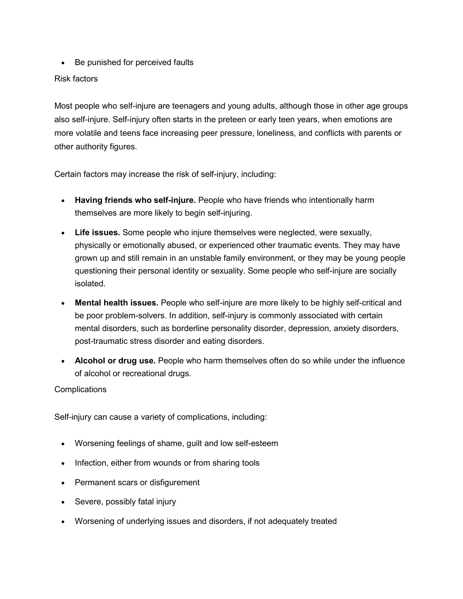Be punished for perceived faults

# Risk factors

Most people who self-injure are teenagers and young adults, although those in other age groups also self-injure. Self-injury often starts in the preteen or early teen years, when emotions are more volatile and teens face increasing peer pressure, loneliness, and conflicts with parents or other authority figures.

Certain factors may increase the risk of self-injury, including:

- **Having friends who self-injure.** People who have friends who intentionally harm themselves are more likely to begin self-injuring.
- **Life issues.** Some people who injure themselves were neglected, were sexually, physically or emotionally abused, or experienced other traumatic events. They may have grown up and still remain in an unstable family environment, or they may be young people questioning their personal identity or sexuality. Some people who self-injure are socially isolated.
- **Mental health issues.** People who self-injure are more likely to be highly self-critical and be poor problem-solvers. In addition, self-injury is commonly associated with certain mental disorders, such as borderline personality disorder, depression, anxiety disorders, post-traumatic stress disorder and eating disorders.
- **Alcohol or drug use.** People who harm themselves often do so while under the influence of alcohol or recreational drugs.

## **Complications**

Self-injury can cause a variety of complications, including:

- Worsening feelings of shame, guilt and low self-esteem
- Infection, either from wounds or from sharing tools
- Permanent scars or disfigurement
- Severe, possibly fatal injury
- Worsening of underlying issues and disorders, if not adequately treated